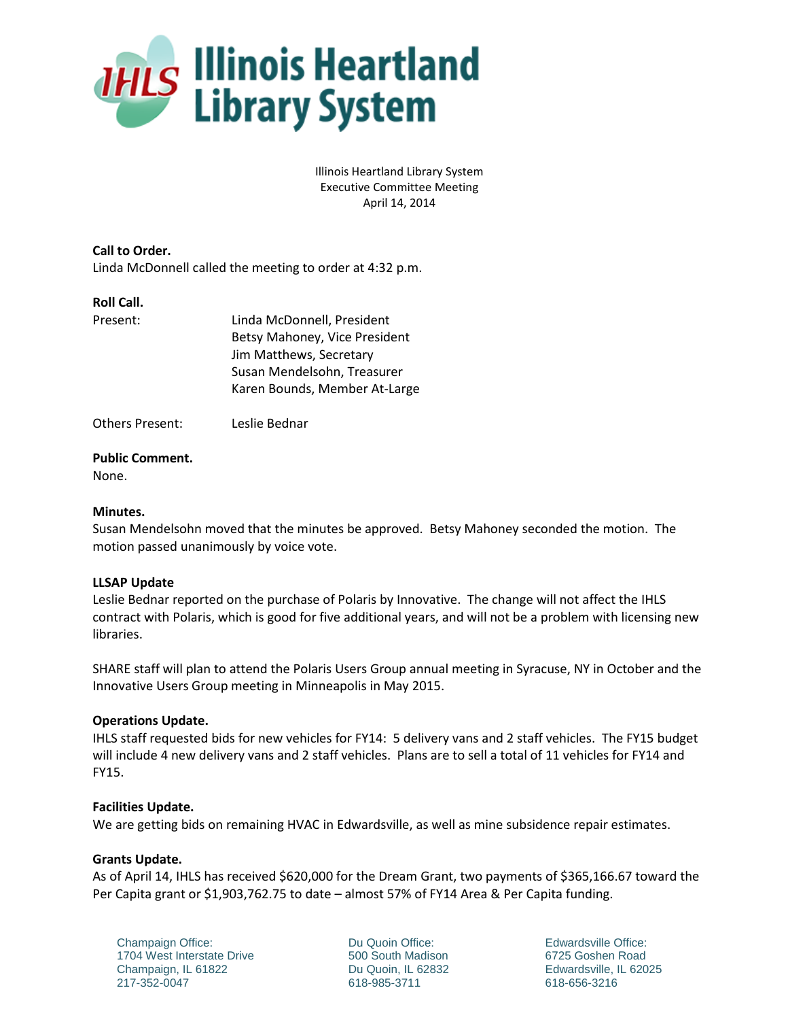

Illinois Heartland Library System Executive Committee Meeting April 14, 2014

**Call to Order.** Linda McDonnell called the meeting to order at 4:32 p.m.

### **Roll Call.**

| Present: | Linda McDonnell, President    |
|----------|-------------------------------|
|          | Betsy Mahoney, Vice President |
|          | Jim Matthews, Secretary       |
|          | Susan Mendelsohn, Treasurer   |
|          | Karen Bounds, Member At-Large |
|          |                               |

Others Present: Leslie Bednar

### **Public Comment.**

None.

## **Minutes.**

Susan Mendelsohn moved that the minutes be approved. Betsy Mahoney seconded the motion. The motion passed unanimously by voice vote.

# **LLSAP Update**

Leslie Bednar reported on the purchase of Polaris by Innovative. The change will not affect the IHLS contract with Polaris, which is good for five additional years, and will not be a problem with licensing new libraries.

SHARE staff will plan to attend the Polaris Users Group annual meeting in Syracuse, NY in October and the Innovative Users Group meeting in Minneapolis in May 2015.

# **Operations Update.**

IHLS staff requested bids for new vehicles for FY14: 5 delivery vans and 2 staff vehicles. The FY15 budget will include 4 new delivery vans and 2 staff vehicles. Plans are to sell a total of 11 vehicles for FY14 and FY15.

### **Facilities Update.**

We are getting bids on remaining HVAC in Edwardsville, as well as mine subsidence repair estimates.

# **Grants Update.**

As of April 14, IHLS has received \$620,000 for the Dream Grant, two payments of \$365,166.67 toward the Per Capita grant or \$1,903,762.75 to date – almost 57% of FY14 Area & Per Capita funding.

Champaign Office: 1704 West Interstate Drive Champaign, IL 61822 217-352-0047

Du Quoin Office: 500 South Madison Du Quoin, IL 62832 618-985-3711

Edwardsville Office: 6725 Goshen Road Edwardsville, IL 62025 618-656-3216